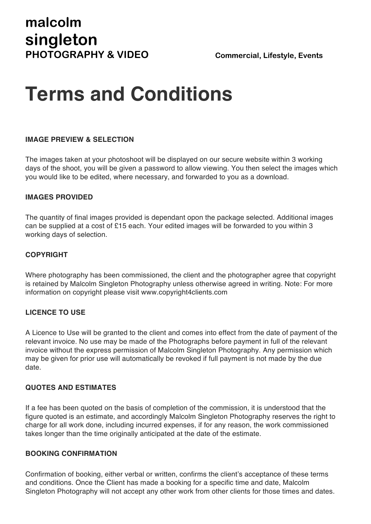# **Terms and Conditions**

## **IMAGE PREVIEW & SELECTION**

The images taken at your photoshoot will be displayed on our secure website within 3 working days of the shoot, you will be given a password to allow viewing. You then select the images which you would like to be edited, where necessary, and forwarded to you as a download.

## **IMAGES PROVIDED**

The quantity of final images provided is dependant opon the package selected. Additional images can be supplied at a cost of £15 each. Your edited images will be forwarded to you within 3 working days of selection.

## **COPYRIGHT**

Where photography has been commissioned, the client and the photographer agree that copyright is retained by Malcolm Singleton Photography unless otherwise agreed in writing. Note: For more information on copyright please visit www.copyright4clients.com

## **LICENCE TO USE**

A Licence to Use will be granted to the client and comes into effect from the date of payment of the relevant invoice. No use may be made of the Photographs before payment in full of the relevant invoice without the express permission of Malcolm Singleton Photography. Any permission which may be given for prior use will automatically be revoked if full payment is not made by the due date.

#### **QUOTES AND ESTIMATES**

If a fee has been quoted on the basis of completion of the commission, it is understood that the figure quoted is an estimate, and accordingly Malcolm Singleton Photography reserves the right to charge for all work done, including incurred expenses, if for any reason, the work commissioned takes longer than the time originally anticipated at the date of the estimate.

## **BOOKING CONFIRMATION**

Confirmation of booking, either verbal or written, confirms the client's acceptance of these terms and conditions. Once the Client has made a booking for a specific time and date, Malcolm Singleton Photography will not accept any other work from other clients for those times and dates.